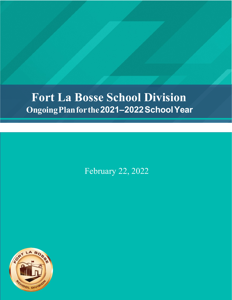# **Fort La Bosse School Division OngoingPlanforthe2021–2022SchoolYear**

February 22, 2022

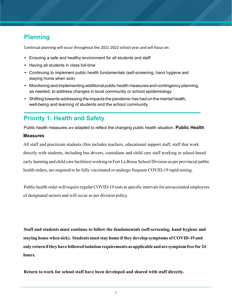## **Planning**

Continual planning will occur throughout the 2021-2022 school year and will focus on:

- Ensuring a safe and healthy environment for all students and staff
- Having all students in class full-time
- Continuing to implement public health fundamentals (self-screening, hand hygiene and staying home when sick)
- Monitoring and implementing additional public health measures and contingency planning, as needed, to address changes in local community or school epidemiology
- Shifting towards addressing the impacts the pandemic has had on the mental health, well-being and learning of students and the school community

### **Priority 1: Health and Safety**

Public health measures are adapted to reflect the changing public health situation. **Public Health** 

#### **Measures**

All staff and practicum students (this includes teachers, educational support staff, staff that work directly with students, including bus drivers, custodians and child care staff working in school-based early learning and child care facilities) working in Fort La Bosse School Division as per provincial public health orders, are required to be fully vaccinated or undergo frequent COVID-19 rapid testing.

Public health order will require regular COVID-19 tests at specific intervals for unvaccinated employees of designated sectors and will occur as per division policy.

**Staff and students must continue to follow the fundamentals (self-screening, hand hygiene and staying home when sick). Students muststay home if they develop symptoms of COVID-19 and only return ifthey have followed isolation requirements as applicable andare symptomfree for 24 hours.**

**Return to work for school staff have been developed and shared with staff directly.**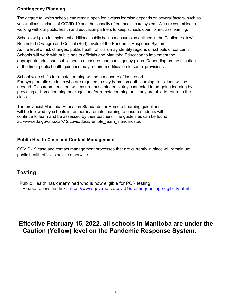#### **Contingency Planning**

The degree to which schools can remain open for in-class learning depends on several factors, such as vaccinations, variants of COVID-19 and the capacity of our health care system. We are committed to working with our public health and education partners to keep schools open for in-class learning.

Schools will plan to implement additional public health measures as outlined in the Caution (Yellow), Restricted (Orange) and Critical (Red) levels of the Pandemic Response System. As the level of risk changes, public health officials may identify regions or schools of concern. Schools will work with public health officials and Manitoba Education to implement the appropriate additional public health measures and contingency plans. Depending on the situation at the time, public health guidance may require modification to some provisions.

School-wide shifts to remote learning will be a measure of last resort.

For symptomatic students who are required to stay home, smooth learning transitions will be needed. Classroom teachers will ensure these students stay connected to on-going learning by providing at-home learning packages and/or remote learning until they are able to return to the class.

The provincial Manitoba Education Standards for Remote Learning guidelines will be followed by schools in temporary remote learning to ensure students will continue to learn and be assessed by their teachers. The guidelines can be found at: www.edu.gov.mb.ca/k12/covid/docs/remote\_learn\_standards.pdf

#### **Public Health Case and Contact Management**

COVID-19 case and contact management processes that are currently in place will remain until public health officials advise otherwise.

### **Testing**

 Public Health has determined who is now eligible for PCR testing. Please follow this link: https://www.gov.mb.ca/covid19/testing/testing-eligibility.html

### **Effective February 15, 2022, all schools in Manitoba are under the Caution (Yellow) level on the Pandemic Response System.**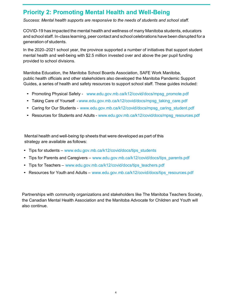### **Priority 2: Promoting Mental Health and Well-Being**

*Success: Mental health supports are responsive to the needs of students and school staff.*

COVID-19 has impacted the mental health and wellness of many Manitoba students, educators and school staff. In-class learning, peer contact and school celebrations have been disrupted for a generation of students.

In the 2020–2021 school year, the province supported a number of initiatives that support student mental health and well-being with \$2.5 million invested over and above the per pupil funding provided to school divisions.

Manitoba Education, the Manitoba School Boards Association, SAFE Work Manitoba, public health officials and other stakeholders also developed the Manitoba Pandemic Support Guides, a series of health and safety resources to support school staff. These guides included:

- Promoting Physical Safety www.edu.gov.mb.ca/k12/covid/docs/mpsg\_promote.pdf
- Taking Care of Yourself www.edu.gov.mb.ca/k12/covid/docs/mpsg\_taking\_care.pdf
- Caring for Our Students www.edu.gov.mb.ca/k12/covid/docs/mpsg\_caring\_student.pdf
- Resources for Students and Adults www.edu.gov.mb.ca/k12/covid/docs/mpsg\_resources.pdf

Mental health and well-being tip sheets that were developed as part of this strategy are available as follows:

- Tips for students www.edu.gov.mb.ca/k12/covid/docs/tips\_students
- Tips for Parents and Caregivers www.edu.gov.mb.ca/k12/covid/docs/tips\_parents.pdf
- Tips for Teachers www.edu.gov.mb.ca/k12/covid/docs/tips\_teachers.pdf
- Resources for Youth and Adults www.edu.gov.mb.ca/k12/covid/docs/tips\_resources.pdf

Partnerships with community organizations and stakeholders like The Manitoba Teachers Society, the Canadian Mental Health Association and the Manitoba Advocate for Children and Youth will also continue.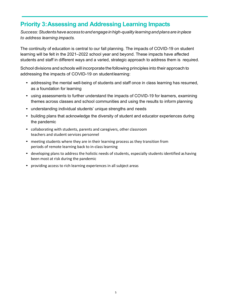### **Priority 3:Assessing and Addressing Learning Impacts**

*Success:Studentshaveaccesstoandengageinhigh-quality learning andplansare inplace to address learning impacts.*

The continuity of education is central to our fall planning. The impacts of COVID-19 on student learning will be felt in the 2021–2022 school year and beyond. These impacts have affected students and staff in different ways and a varied, strategic approach to address them is required.

School divisions and schools will incorporate the following principles into their approach to addressing the impacts of COVID-19 on studentlearning:

- addressing the mental well-being of students and staff once in class learning has resumed, as a foundation for learning
- using assessments to further understand the impacts of COVID-19 for learners, examining themes across classes and school communities and using the results to inform planning
- understanding individual students' unique strengths and needs
- building plans that acknowledge the diversity of student and educator experiences during the pandemic
- collaborating with students, parents and caregivers, other classroom teachers and student services personnel
- meeting students where they are in their learning process as they transition from periods of remote learning back to in-class learning
- developing plans to address the holistic needs of students, especially students identified as having been most at risk during the pandemic
- providing access to rich learning experiences in all subject areas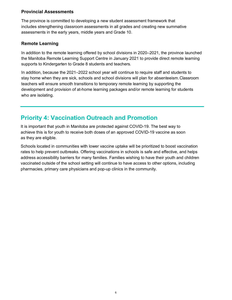#### **Provincial Assessments**

The province is committed to developing a new student assessment framework that includes strengthening classroom assessments in all grades and creating new summative assessments in the early years, middle years and Grade 10.

#### **Remote Learning**

In addition to the remote learning offered by school divisions in 2020–2021, the province launched the Manitoba Remote Learning Support Centre in January 2021 to provide direct remote learning supports to Kindergarten to Grade 8 students and teachers.

In addition, because the 2021–2022 school year will continue to require staff and students to stay home when they are sick, schools and school divisions will plan for absenteeism.Classroom teachers will ensure smooth transitions to temporary remote learning by supporting the development and provision of at-home learning packages and/or remote learning for students who are isolating.

### **Priority 4: Vaccination Outreach and Promotion**

It is important that youth in Manitoba are protected against COVID-19. The best way to achieve this is for youth to receive both doses of an approved COVID-19 vaccine as soon as they are eligible.

Schools located in communities with lower vaccine uptake will be prioritized to boost vaccination rates to help prevent outbreaks. Offering vaccinations in schools is safe and effective, and helps address accessibility barriers for many families. Families wishing to have their youth and children vaccinated outside of the school setting will continue to have access to other options, including pharmacies, primary care physicians and pop-up clinics in the community.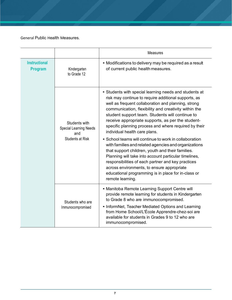General Public Health Measures.

|                                        |                                                                                  | <b>Measures</b>                                                                                                                                                                                                                                                                                                                                                                                                                                                                                                                                                                                                                                                                                                                                                                                                                              |  |  |
|----------------------------------------|----------------------------------------------------------------------------------|----------------------------------------------------------------------------------------------------------------------------------------------------------------------------------------------------------------------------------------------------------------------------------------------------------------------------------------------------------------------------------------------------------------------------------------------------------------------------------------------------------------------------------------------------------------------------------------------------------------------------------------------------------------------------------------------------------------------------------------------------------------------------------------------------------------------------------------------|--|--|
| <b>Instructional</b><br><b>Program</b> | Kindergarten<br>to Grade 12                                                      | • Modifications to delivery may be required as a result<br>of current public health measures.                                                                                                                                                                                                                                                                                                                                                                                                                                                                                                                                                                                                                                                                                                                                                |  |  |
|                                        | Students with<br><b>Special Learning Needs</b><br>and<br><b>Students at Risk</b> | • Students with special learning needs and students at<br>risk may continue to require additional supports, as<br>well as frequent collaboration and planning, strong<br>communication, flexibility and creativity within the<br>student support team. Students will continue to<br>receive appropriate supports, as per the student-<br>specific planning process and where required by their<br>individual health care plans.<br>• School teams will continue to work in collaboration<br>with families and related agencies and organizations<br>that support children, youth and their families.<br>Planning will take into account particular timelines,<br>responsibilities of each partner and key practices<br>across environments, to ensure appropriate<br>educational programming is in place for in-class or<br>remote learning. |  |  |
|                                        | Students who are<br>Immunocompromised                                            | • Manitoba Remote Learning Support Centre will<br>provide remote learning for students in Kindergarten<br>to Grade 8 who are immunocompromised.<br>• InformNet, Teacher Mediated Options and Learning<br>from Home School/L'École Apprendre-chez-soi are<br>available for students in Grades 9 to 12 who are<br>immunocompromised.                                                                                                                                                                                                                                                                                                                                                                                                                                                                                                           |  |  |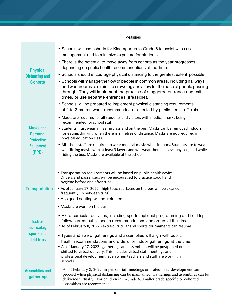|                                                                              | <b>Measures</b>                                                                                                                                                                                                                                                                                                                                                                                                                                                                                                             |  |  |  |
|------------------------------------------------------------------------------|-----------------------------------------------------------------------------------------------------------------------------------------------------------------------------------------------------------------------------------------------------------------------------------------------------------------------------------------------------------------------------------------------------------------------------------------------------------------------------------------------------------------------------|--|--|--|
| <b>Physical</b><br><b>Distancing and</b><br><b>Cohorts</b>                   | • Schools will use cohorts for Kindergarten to Grade 6 to assist with case<br>management and to minimize exposure for students.<br>• There is the potential to move away from cohorts as the year progresses,<br>depending on public health recommendations at the time.<br>• Schools should encourage physical distancing to the greatest extent possible.<br>• Schools will manage the flow of people in common areas, including hallways,<br>and washrooms to minimize crowding and allow for the ease of people passing |  |  |  |
|                                                                              | through. They will implement the practice of staggered entrance and exit<br>times, or use separate entrances (iffeasible).<br>• Schools will be prepared to implement physical distancing requirements<br>of 1 to 2 metres when recommended or directed by public health officials.                                                                                                                                                                                                                                         |  |  |  |
| <b>Masks and</b><br><b>Personal</b><br><b>Protective</b><br><b>Equipment</b> | • Masks are required for all students and visitors with medical masks being<br>recommended for school staff.<br>• Students must wear a mask in class and on the bus. Masks can be removed indoors<br>for eating/drinking when there is 2 metres of distance. Masks are not required in<br>physical education class.<br>• All school staff are required to wear medical masks while indoors. Students are to wear                                                                                                            |  |  |  |
| (PPE)                                                                        | well-fitting masks with at least 3 layers and will wear them in class, phys-ed, and while<br>riding the bus. Masks are available at the school.<br>• Transportation requirements will be based on public health advice.                                                                                                                                                                                                                                                                                                     |  |  |  |
| <b>Transportation</b>                                                        | Drivers and passengers will be encouraged to practice good hand<br>hygiene before and after trips.<br>• As of January 17, 2022 - high touch surfaces on the bus will be cleaned<br>frequently (in between trips).<br>• Assigned seating will be retained.                                                                                                                                                                                                                                                                   |  |  |  |
|                                                                              | • Masks are worn on the bus.                                                                                                                                                                                                                                                                                                                                                                                                                                                                                                |  |  |  |
| Extra-<br>curricular,                                                        | • Extra-curricular activities, including sports, optional programming and field trips<br>follow current public health recommendations and orders at the time<br>• As of February 8, 2022 - extra-curricular and sports tournaments can resume.                                                                                                                                                                                                                                                                              |  |  |  |
| sports and<br>field trips                                                    | • Types and size of gatherings and assemblies will align with public<br>health recommendations and orders for indoor gatherings at the time.<br>• As of January 17, 2022 - gatherings and assemblies will be postponed or<br>shifted to virtual delivery. This includes virtual staff meetings and<br>professional development, even when teachers and staff are working in<br>schools                                                                                                                                      |  |  |  |
| <b>Assemblies and</b><br>gatherings                                          | As of February 8, 2022, in-person staff meetings or professional development can<br>proceed when physical distancing can be maintained. Gatherings and assemblies can be<br>delivered virtually. For children in K-Grade 6, smaller grade specific or cohorted<br>assemblies are recommended.                                                                                                                                                                                                                               |  |  |  |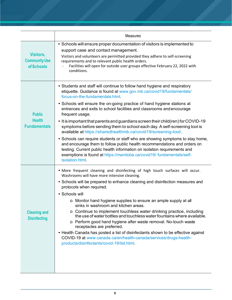|                                                       | Measures                                                                                                                                                                                                                                                                                                                                                                                                                                                                                                                                                                                                                                                                                                                                                                                                                                                                                                                               |  |  |  |  |
|-------------------------------------------------------|----------------------------------------------------------------------------------------------------------------------------------------------------------------------------------------------------------------------------------------------------------------------------------------------------------------------------------------------------------------------------------------------------------------------------------------------------------------------------------------------------------------------------------------------------------------------------------------------------------------------------------------------------------------------------------------------------------------------------------------------------------------------------------------------------------------------------------------------------------------------------------------------------------------------------------------|--|--|--|--|
| Visitors,<br><b>Community Use</b><br>of Schools       | • Schools will ensure proper documentation of visitors is implemented to<br>support case and contact management.<br>Visitors and volunteers are permitted provided they adhere to self-screening<br>requirements and to relevant public health orders.<br>Facilities will open for outside user groups effective February 22, 2022 with<br>conditions.                                                                                                                                                                                                                                                                                                                                                                                                                                                                                                                                                                                 |  |  |  |  |
| <b>Public</b><br><b>Health</b><br><b>Fundamentals</b> | • Students and staff will continue to follow hand hygiene and respiratory<br>etiquette. Guidance is found at www.gov.mb.ca/covid19/fundamentals/<br>focus-on-the-fundamentals.html<br>• Schools will ensure the on-going practice of hand hygiene stations at<br>entrances and exits to school facilities and classrooms and encourage<br>frequent usage.<br>• It is important that parents and guardians screen their child (ren) for COVID-19<br>symptoms before sending them to school each day. A self-screening tool is<br>available at https://sharedhealthmb.ca/covid19/screening-tool/.<br>• Schools can require students or staff who are showing symptoms to stay home,<br>and encourage them to follow public health recommendations and orders on<br>testing. Current public health information on isolation requirements and<br>exemptions is found at https://manitoba.ca/covid19/ fundamentals/self-<br>isolation.html. |  |  |  |  |
| <b>Cleaning and</b><br><b>Disinfecting</b>            | . More frequent cleaning and disinfecting of high touch surfaces will occur.<br>Washrooms will have more intensive cleaning.<br>• Schools will be prepared to enhance cleaning and disinfection measures and<br>protocols when required.<br>• Schools will<br>o Monitor hand hygiene supplies to ensure an ample supply at all<br>sinks in washroom and kitchen areas.<br>o Continue to implement touchless water drinking practice, including<br>the use of water bottles and touchless water fountains where available.<br>o Perform good hand hygiene after waste removal. No-touch waste<br>receptacles are preferred.<br>• Health Canada has posted a list of disinfectants shown to be effective against<br>COVID-19 at www.canada.ca/en/health-canada/services/drugs-health-<br>products/disinfectants/covid-19/list.html.                                                                                                      |  |  |  |  |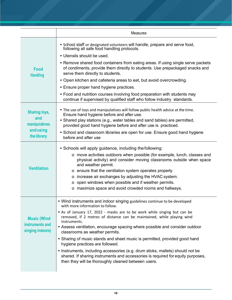|                                     | <b>Measures</b>                                                                                                                                                                                                          |  |  |
|-------------------------------------|--------------------------------------------------------------------------------------------------------------------------------------------------------------------------------------------------------------------------|--|--|
|                                     | • School staff or designated volunteers will handle, prepare and serve food,<br>following all safe food handling protocols.                                                                                              |  |  |
|                                     | • Utensils should be used.                                                                                                                                                                                               |  |  |
| Food<br><b>Handling</b>             | • Remove shared food containers from eating areas. If using single serve packets<br>of condiments, provide them directly to students. Use prepackaged snacks and<br>serve them directly to students.                     |  |  |
|                                     | • Open kitchen and cafeteria areas to eat, but avoid overcrowding.                                                                                                                                                       |  |  |
|                                     | • Ensure proper hand hygiene practices.                                                                                                                                                                                  |  |  |
|                                     | • Food and nutrition courses involving food preparation with students may<br>continue if supervised by qualified staff who follow industry standards.                                                                    |  |  |
| <b>Sharing toys,</b>                | . The use of toys and manipulatives will follow public health advice at the time.<br>Ensure hand hygiene before and after use.                                                                                           |  |  |
| and<br>manipulatives                | • Shared play stations (e.g., water tables and sand tables) are permitted,<br>provided good hand hygiene before and after use is practiced.                                                                              |  |  |
| andusing<br>the library             | • School and classroom libraries are open for use. Ensure good hand hygiene<br>before and after use                                                                                                                      |  |  |
|                                     | • Schools will apply guidance, including the following:                                                                                                                                                                  |  |  |
|                                     | o move activities outdoors when possible (for example, lunch, classes and<br>physical activity) and consider moving classrooms outside when space<br>and weather permit.                                                 |  |  |
| <b>Ventilation</b>                  | o ensure that the ventilation system operates properly.                                                                                                                                                                  |  |  |
|                                     | o increase air exchanges by adjusting the HVAC system.                                                                                                                                                                   |  |  |
|                                     | o open windows when possible and if weather permits.                                                                                                                                                                     |  |  |
|                                     | o maximize space and avoid crowded rooms and hallways.                                                                                                                                                                   |  |  |
|                                     | • Wind instruments and indoor singing guidelines continue to be developed<br>with more information to follow.                                                                                                            |  |  |
| <b>Music (Wind</b>                  | • As of January 17, 2022 - masks are to be work while singing but can be<br>removed, if 2 metres of distance can be maintained, while playing wind<br>instruments.                                                       |  |  |
| instruments and<br>singing indoors) | • Assess ventilation, encourage spacing where possible and consider outdoor<br>classrooms as weather permits.                                                                                                            |  |  |
|                                     | • Sharing of music stands and sheet music is permitted, provided good hand<br>hygiene practices are followed.                                                                                                            |  |  |
|                                     | • Instruments, including accessories (e.g. drum sticks, mallets) should not be<br>shared. If sharing instruments and accessories is required for equity purposes,<br>then they will be thoroughly cleaned between users. |  |  |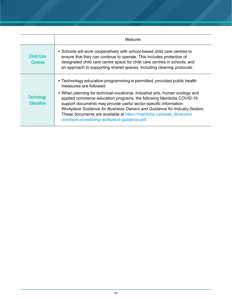|                                       | Measures                                                                                                                                                                                                                                                                                                                                                                                                                                                                                                                               |  |  |
|---------------------------------------|----------------------------------------------------------------------------------------------------------------------------------------------------------------------------------------------------------------------------------------------------------------------------------------------------------------------------------------------------------------------------------------------------------------------------------------------------------------------------------------------------------------------------------------|--|--|
| <b>Child Care</b><br><b>Centres</b>   | • Schools will work cooperatively with school-based child care centres to<br>ensure that they can continue to operate. This includes protection of<br>designated child care centre space for child care centres in schools, and<br>an approach to supporting shared spaces, including cleaning protocols.                                                                                                                                                                                                                              |  |  |
| <b>Technology</b><br><b>Education</b> | • Technology education programming is permitted, provided public health<br>measures are followed.<br>• When planning for technical-vocational, industrial arts, human ecology and<br>applied commerce education programs, the following Manitoba COVID-19<br>support documents may provide useful sector-specific information:<br>Workplace Guidance for Business Owners and Guidance for Industry Sectors.<br>These documents are available at https://manitoba.ca/asset library/en/<br>coronavirus/restoring-workplace-guidance.pdf. |  |  |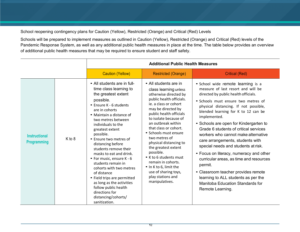#### School reopening contingency plans for Caution (Yellow), Restricted (Orange) and Critical (Red) Levels

Schools will be prepared to implement measures as outlined in Caution (Yellow), Restricted (Orange) and Critical (Red) levels of the Pandemic Response System, as well as any additional public health measures in place at the time. The table below provides an overview of additional public health measures that may be required to ensure student and staff safety.

|                                            |        | <b>Additional Public Health Measures</b>                                                                                                                                                                                                                                                                                                                                                                                                                                                                                                                                                     |                                                                                                                                                                                                                                                                                                                                                                                                                                                                                                        |                                                                                                                                                                                                                                                                                                                                                                                                                                                                                                                                                                                                                                                                                                            |  |
|--------------------------------------------|--------|----------------------------------------------------------------------------------------------------------------------------------------------------------------------------------------------------------------------------------------------------------------------------------------------------------------------------------------------------------------------------------------------------------------------------------------------------------------------------------------------------------------------------------------------------------------------------------------------|--------------------------------------------------------------------------------------------------------------------------------------------------------------------------------------------------------------------------------------------------------------------------------------------------------------------------------------------------------------------------------------------------------------------------------------------------------------------------------------------------------|------------------------------------------------------------------------------------------------------------------------------------------------------------------------------------------------------------------------------------------------------------------------------------------------------------------------------------------------------------------------------------------------------------------------------------------------------------------------------------------------------------------------------------------------------------------------------------------------------------------------------------------------------------------------------------------------------------|--|
|                                            |        | <b>Caution (Yellow)</b>                                                                                                                                                                                                                                                                                                                                                                                                                                                                                                                                                                      | <b>Restricted (Orange)</b>                                                                                                                                                                                                                                                                                                                                                                                                                                                                             | <b>Critical (Red)</b>                                                                                                                                                                                                                                                                                                                                                                                                                                                                                                                                                                                                                                                                                      |  |
| <b>Instructional</b><br><b>Programming</b> | K to 8 | • All students are in full-<br>time class learning to<br>the greatest extent<br>possible.<br>• Ensure K - 6 students<br>are in cohorts<br>• Maintain a distance of<br>two metres between<br>individuals to the<br>greatest extent<br>possible.<br>• Ensure two metres of<br>distancing before<br>students remove their<br>masks to eat and drink.<br>• For music, ensure K - 6<br>students remain in<br>cohorts with two metres<br>of distance<br>• Field trips are permitted<br>as long as the activities<br>follow public health<br>directions for<br>distancing/cohorts/<br>sanitization. | • All students are in<br>class learning unless<br>otherwise directed by<br>public health officials.<br>ie. a class or cohort<br>may be directed by<br>public health officials<br>to isolate because of<br>an outbreak within<br>that class or cohort.<br>• Schools must ensure<br>two metres of<br>physical distancing to<br>the greatest extent<br>possible.<br>• K to 6 students must<br>remain in cohorts.<br>• In K to 6, limit the<br>use of sharing toys,<br>play stations and<br>manipulatives. | • School wide remote learning is a<br>measure of last resort and will be<br>directed by public health officials.<br>· Schools must ensure two metres of<br>physical distancing. If not possible,<br>blended learning for K to 12 can be<br>implemented.<br>• Schools are open for Kindergarten to<br>Grade 6 students of critical services<br>workers who cannot make alternative<br>care arrangements, students with<br>special needs and students at risk.<br>• Focus on literacy, numeracy and other<br>curricular areas, as time and resources<br>permit.<br>• Classroom teacher provides remote<br>learning to ALL students as per the<br><b>Manitoba Education Standards for</b><br>Remote Learning. |  |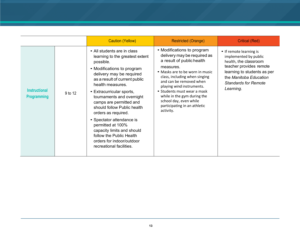|                                            |         | <b>Caution (Yellow)</b>                                                                                                                                                                                                                                                                                                                                                                                                                                                                                    | Restricted (Orange)                                                                                                                                                                                                                                                                                                                                                  | <b>Critical (Red)</b>                                                                                                                                                                                     |
|--------------------------------------------|---------|------------------------------------------------------------------------------------------------------------------------------------------------------------------------------------------------------------------------------------------------------------------------------------------------------------------------------------------------------------------------------------------------------------------------------------------------------------------------------------------------------------|----------------------------------------------------------------------------------------------------------------------------------------------------------------------------------------------------------------------------------------------------------------------------------------------------------------------------------------------------------------------|-----------------------------------------------------------------------------------------------------------------------------------------------------------------------------------------------------------|
| <b>Instructional</b><br><b>Programming</b> | 9 to 12 | • All students are in class<br>learning to the greatest extent<br>possible.<br>• Modifications to program<br>delivery may be required<br>as a result of current public<br>health measures.<br>• Extracurricular sports,<br>tournaments and overnight<br>camps are permitted and<br>should follow Public health<br>orders as required.<br>• Spectator attendance is<br>permitted at 100%<br>capacity limits and should<br>follow the Public Health<br>orders for indoor/outdoor<br>recreational facilities. | • Modifications to program<br>delivery may be required as<br>a result of public health<br>measures.<br>• Masks are to be worn in music<br>class, including when singing<br>and can be removed when<br>playing wind instruments.<br>• Students must wear a mask<br>while in the gym during the<br>school day, even while<br>participating in an athletic<br>activity. | • If remote learning is<br>implemented by public<br>health, the classroom<br>teacher provides remote<br>learning to students as per<br>the Manitoba Education<br><b>Standards for Remote</b><br>Learning. |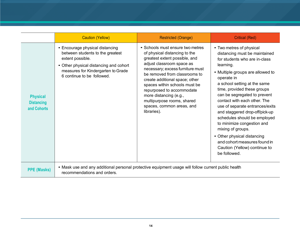|                                                     | <b>Caution (Yellow)</b>                                                                                                                                                                               | <b>Restricted (Orange)</b>                                                                                                                                                                                                                                                                                                                                                                               | <b>Critical (Red)</b>                                                                                                                                                                                                                                                                                                                                                                                                                                                                                                                                           |  |  |
|-----------------------------------------------------|-------------------------------------------------------------------------------------------------------------------------------------------------------------------------------------------------------|----------------------------------------------------------------------------------------------------------------------------------------------------------------------------------------------------------------------------------------------------------------------------------------------------------------------------------------------------------------------------------------------------------|-----------------------------------------------------------------------------------------------------------------------------------------------------------------------------------------------------------------------------------------------------------------------------------------------------------------------------------------------------------------------------------------------------------------------------------------------------------------------------------------------------------------------------------------------------------------|--|--|
| <b>Physical</b><br><b>Distancing</b><br>and Cohorts | • Encourage physical distancing<br>between students to the greatest<br>extent possible.<br>• Other physical distancing and cohort<br>measures for Kindergarten to Grade<br>6 continue to be followed. | • Schools must ensure two metres<br>of physical distancing to the<br>greatest extent possible, and<br>adjust classroom space as<br>necessary; excess furniture must<br>be removed from classrooms to<br>create additional space; other<br>spaces within schools must be<br>repurposed to accommodate<br>more distancing (e.g.,<br>multipurpose rooms, shared<br>spaces, common areas, and<br>libraries). | • Two metres of physical<br>distancing must be maintained<br>for students who are in-class<br>learning.<br>• Multiple groups are allowed to<br>operate in<br>a school setting at the same<br>time, provided these groups<br>can be segregated to prevent<br>contact with each other. The<br>use of separate entrances/exits<br>and staggered drop-off/pick-up<br>schedules should be employed<br>to minimize congestion and<br>mixing of groups.<br>• Other physical distancing<br>and cohort measures found in<br>Caution (Yellow) continue to<br>be followed. |  |  |
| <b>PPE (Masks)</b>                                  | • Mask use and any additional personal protective equipment usage will follow current public health<br>recommendations and orders.                                                                    |                                                                                                                                                                                                                                                                                                                                                                                                          |                                                                                                                                                                                                                                                                                                                                                                                                                                                                                                                                                                 |  |  |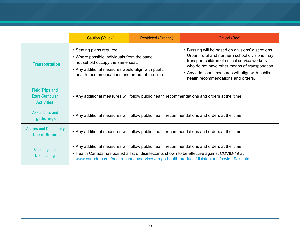|                                                                        | <b>Caution (Yellow)</b>                                                                                                                                                                                                                                                                       | <b>Restricted (Orange)</b> | <b>Critical (Red)</b>                                                                                                                                                                                                                                                                              |
|------------------------------------------------------------------------|-----------------------------------------------------------------------------------------------------------------------------------------------------------------------------------------------------------------------------------------------------------------------------------------------|----------------------------|----------------------------------------------------------------------------------------------------------------------------------------------------------------------------------------------------------------------------------------------------------------------------------------------------|
| <b>Transportation</b>                                                  | • Seating plans required.<br>• Where possible individuals from the same<br>household occupy the same seat.<br>• Any additional measures would align with public<br>health recommendations and orders at the time.                                                                             |                            | • Bussing will be based on divisions' discretions.<br>Urban, rural and northern school divisions may<br>transport children of critical service workers<br>who do not have other means of transportation.<br>• Any additional measures will align with public<br>health recommendations and orders. |
| <b>Field Trips and</b><br><b>Extra-Curricular</b><br><b>Activities</b> | • Any additional measures will follow public health recommendations and orders at the time.                                                                                                                                                                                                   |                            |                                                                                                                                                                                                                                                                                                    |
| <b>Assemblies and</b><br>gatherings                                    | • Any additional measures will follow public health recommendations and orders at the time.                                                                                                                                                                                                   |                            |                                                                                                                                                                                                                                                                                                    |
| <b>Visitors and Community</b><br><b>Use of Schools</b>                 | • Any additional measures will follow public health recommendations and orders at the time.                                                                                                                                                                                                   |                            |                                                                                                                                                                                                                                                                                                    |
| <b>Cleaning and</b><br><b>Disinfecting</b>                             | • Any additional measures will follow public health recommendations and orders at the time<br>• Health Canada has posted a list of disinfectants shown to be effective against COVID-19 at<br>www.canada.ca/en/health-canada/services/drugs-health-products/disinfectants/covid-19/list.html. |                            |                                                                                                                                                                                                                                                                                                    |